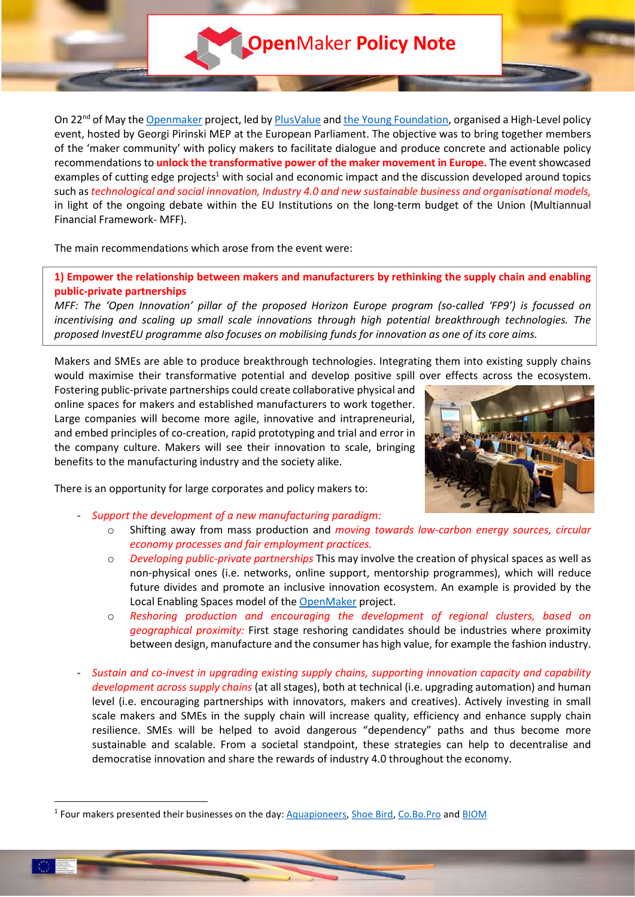**OpenMaker Policy Note** 

On 22<sup>nd</sup> of May the Openmaker project, led by PlusValue and the Young Foundation, organised a High-Level policy event, hosted by Georgi Pirinski MEP at the European Parliament. The objective was to bring together members of the 'maker community' with policy makers to facilitate dialogue and produce concrete and actionable policy recommendations to unlock the transformative power of the maker movement in Europe. The event showcased examples of cutting edge projects<sup>1</sup> with social and economic impact and the discussion developed around topics such as technological and social innovation, Industry 4.0 and new sustainable business and organisational models, in light of the ongoing debate within the EU Institutions on the long-term budget of the Union (Multiannual Financial Framework- MFF).

The main recommendations which arose from the event were:

1) Empower the relationship between makers and manufacturers by rethinking the supply chain and enabling public-private partnerships

MFF: The 'Open Innovation' pillar of the proposed Horizon Europe program (so-called 'FP9') is focussed on incentivising and scaling up small scale innovations through high potential breakthrough technologies. The proposed InvestEU programme also focuses on mobilising funds for innovation as one of its core aims.

Makers and SMEs are able to produce breakthrough technologies. Integrating them into existing supply chains would maximise their transformative potential and develop positive spill over effects across the ecosystem.

Fostering public-private partnerships could create collaborative physical and online spaces for makers and established manufacturers to work together. Large companies will become more agile, innovative and intrapreneurial, and embed principles of co-creation, rapid prototyping and trial and error in the company culture. Makers will see their innovation to scale, bringing benefits to the manufacturing industry and the society alike.



There is an opportunity for large corporates and policy makers to:

- Support the development of a new manufacturing paradigm:
	- o Shifting away from mass production and moving towards low-carbon energy sources, circular economy processes and fair employment practices.
	- o Developing public-private partnerships This may involve the creation of physical spaces as well as non-physical ones (i.e. networks, online support, mentorship programmes), which will reduce future divides and promote an inclusive innovation ecosystem. An example is provided by the Local Enabling Spaces model of the OpenMaker project.
	- o Reshoring production and encouraging the development of regional clusters, based on geographical proximity: First stage reshoring candidates should be industries where proximity between design, manufacture and the consumer has high value, for example the fashion industry.
- Sustain and co-invest in upgrading existing supply chains, supporting innovation capacity and capability development across supply chains (at all stages), both at technical (i.e. upgrading automation) and human level (i.e. encouraging partnerships with innovators, makers and creatives). Actively investing in small scale makers and SMEs in the supply chain will increase quality, efficiency and enhance supply chain resilience. SMEs will be helped to avoid dangerous "dependency" paths and thus become more sustainable and scalable. From a societal standpoint, these strategies can help to decentralise and democratise innovation and share the rewards of industry 4.0 throughout the economy.

-

<sup>&</sup>lt;sup>1</sup> Four makers presented their businesses on the day: Aquapioneers, Shoe Bird, Co.Bo.Pro and BIOM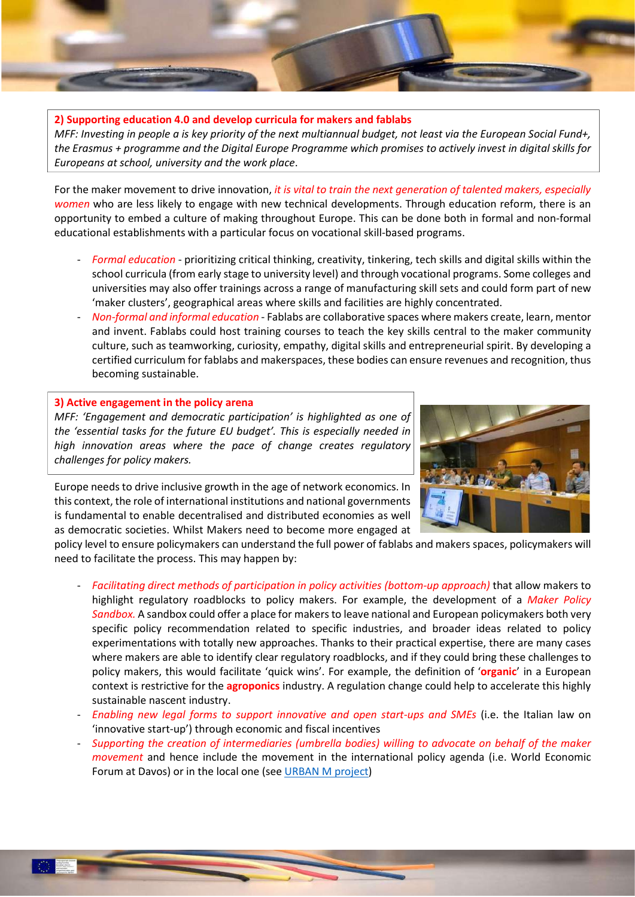

## 2) Supporting education 4.0 and develop curricula for makers and fablabs

MFF: Investing in people a is key priority of the next multiannual budget, not least via the European Social Fund+, the Erasmus + programme and the Digital Europe Programme which promises to actively invest in digital skills for Europeans at school, university and the work place.

For the maker movement to drive innovation, it is vital to train the next generation of talented makers, especially women who are less likely to engage with new technical developments. Through education reform, there is an opportunity to embed a culture of making throughout Europe. This can be done both in formal and non-formal educational establishments with a particular focus on vocational skill-based programs.

- Formal education prioritizing critical thinking, creativity, tinkering, tech skills and digital skills within the school curricula (from early stage to university level) and through vocational programs. Some colleges and universities may also offer trainings across a range of manufacturing skill sets and could form part of new 'maker clusters', geographical areas where skills and facilities are highly concentrated.
- Non-formal and informal education Fablabs are collaborative spaces where makers create, learn, mentor and invent. Fablabs could host training courses to teach the key skills central to the maker community culture, such as teamworking, curiosity, empathy, digital skills and entrepreneurial spirit. By developing a certified curriculum for fablabs and makerspaces, these bodies can ensure revenues and recognition, thus becoming sustainable.

## 3) Active engagement in the policy arena

MFF: 'Engagement and democratic participation' is highlighted as one of the 'essential tasks for the future EU budget'. This is especially needed in high innovation areas where the pace of change creates regulatory challenges for policy makers.



Europe needs to drive inclusive growth in the age of network economics. In this context, the role of international institutions and national governments is fundamental to enable decentralised and distributed economies as well as democratic societies. Whilst Makers need to become more engaged at

policy level to ensure policymakers can understand the full power of fablabs and makers spaces, policymakers will need to facilitate the process. This may happen by:

- Facilitating direct methods of participation in policy activities (bottom-up approach) that allow makers to highlight regulatory roadblocks to policy makers. For example, the development of a Maker Policy Sandbox. A sandbox could offer a place for makers to leave national and European policymakers both very specific policy recommendation related to specific industries, and broader ideas related to policy experimentations with totally new approaches. Thanks to their practical expertise, there are many cases where makers are able to identify clear regulatory roadblocks, and if they could bring these challenges to policy makers, this would facilitate 'quick wins'. For example, the definition of 'organic' in a European context is restrictive for the **agroponics** industry. A regulation change could help to accelerate this highly sustainable nascent industry.
- Enabling new legal forms to support innovative and open start-ups and SMEs (i.e. the Italian law on 'innovative start-up') through economic and fiscal incentives
- Supporting the creation of intermediaries (umbrella bodies) willing to advocate on behalf of the maker movement and hence include the movement in the international policy agenda (i.e. World Economic Forum at Davos) or in the local one (see URBAN M project)